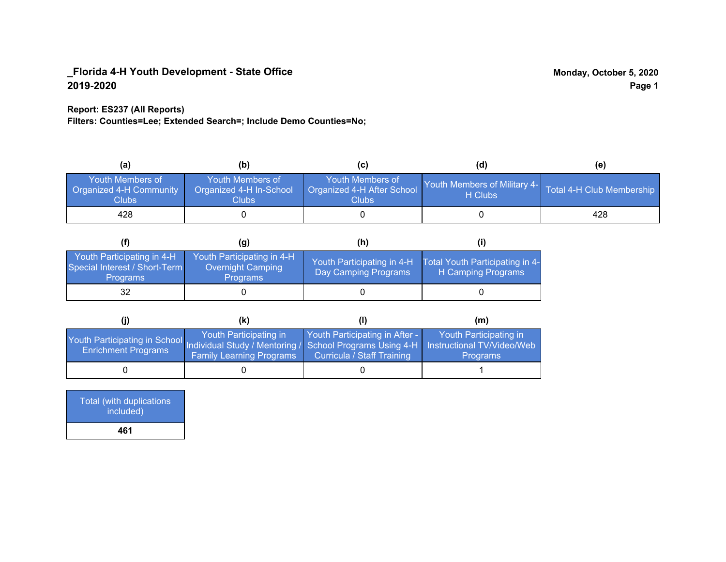### **Report: ES237 (All Reports)**

**Filters: Counties=Lee; Extended Search=; Include Demo Counties=No;**

| (a)                                                         | (b)                                                               |                                                          | (d)                                     | (e)                       |
|-------------------------------------------------------------|-------------------------------------------------------------------|----------------------------------------------------------|-----------------------------------------|---------------------------|
| Youth Members of<br><b>Organized 4-H Community</b><br>Clubs | Youth Members of<br>Organized 4-H In-School<br>Clubs <sub>.</sub> | Youth Members of<br>Organized 4-H After School<br>Clubs: | Youth Members of Military 4-<br>H Clubs | Total 4-H Club Membership |
| 428                                                         |                                                                   |                                                          |                                         | 428                       |

|                                                                                | (g)                                                                       | (h)                                                |                                                       |
|--------------------------------------------------------------------------------|---------------------------------------------------------------------------|----------------------------------------------------|-------------------------------------------------------|
| Youth Participating in 4-H<br>Special Interest / Short-Term<br><b>Programs</b> | Youth Participating in 4-H<br><b>Overnight Camping</b><br><b>Programs</b> | Youth Participating in 4-H<br>Day Camping Programs | Total Youth Participating in 4-<br>H Camping Programs |
| 32                                                                             |                                                                           |                                                    |                                                       |

|                                                                                                                                                 | (k)                                                       |                                                              | (m)                                       |
|-------------------------------------------------------------------------------------------------------------------------------------------------|-----------------------------------------------------------|--------------------------------------------------------------|-------------------------------------------|
| Youth Participating in School Individual Study / Mentoring / School Programs Using 4-H Instructional TV/Video/Web<br><b>Enrichment Programs</b> | Youth Participating in<br><b>Family Learning Programs</b> | Youth Participating in After -<br>Curricula / Staff Training | Youth Participating in<br><b>Programs</b> |
|                                                                                                                                                 |                                                           |                                                              |                                           |

| <b>Total (with duplications)</b><br>included) |  |
|-----------------------------------------------|--|
| 461                                           |  |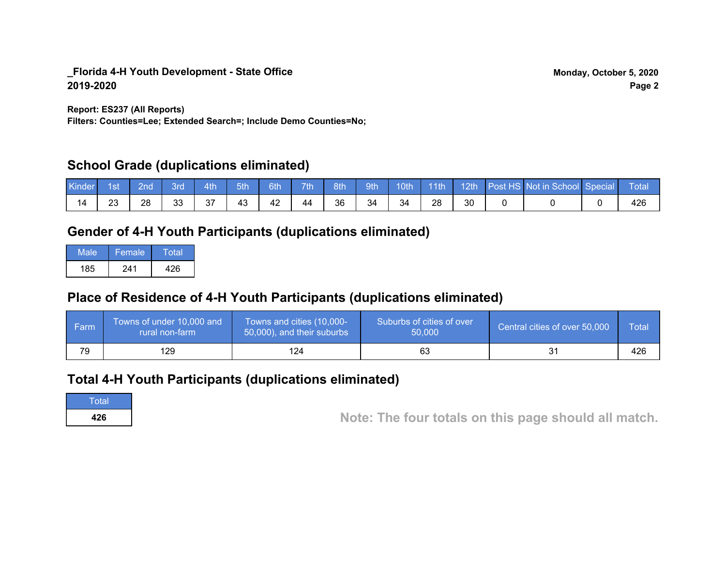**Report: ES237 (All Reports)**

**Filters: Counties=Lee; Extended Search=; Include Demo Counties=No;**

# **School Grade (duplications eliminated)**

| Kinder | 1st' | 2nd' | 3rd      | 4th | 5th | 6th | <b>Tih</b> | 8th | gth <sup>1</sup> | 10th | 11 <sup>th</sup> | $-12th$ | Post HS Not in School Special | <b>Total</b> |
|--------|------|------|----------|-----|-----|-----|------------|-----|------------------|------|------------------|---------|-------------------------------|--------------|
| 14     | 23   | 28   | วว<br>JJ | 37  | 43  | 42  | 44         | 36  | 34               | 34   | 28               | 30      |                               | 426          |

# **Gender of 4-H Youth Participants (duplications eliminated)**

| Male | Female | Total |
|------|--------|-------|
| 185  | 241    | 426   |

# **Place of Residence of 4-H Youth Participants (duplications eliminated)**

| l Farm | Towns of under 10,000 and<br>rural non-farm | Towns and cities (10,000-<br>50,000), and their suburbs | Suburbs of cities of over<br>50,000 | Central cities of over 50,000 | Total |
|--------|---------------------------------------------|---------------------------------------------------------|-------------------------------------|-------------------------------|-------|
| 79     | 129                                         | 24                                                      |                                     |                               | 426   |

# **Total 4-H Youth Participants (duplications eliminated)**

**Total** 

**<sup>426</sup> Note: The four totals on this page should all match.**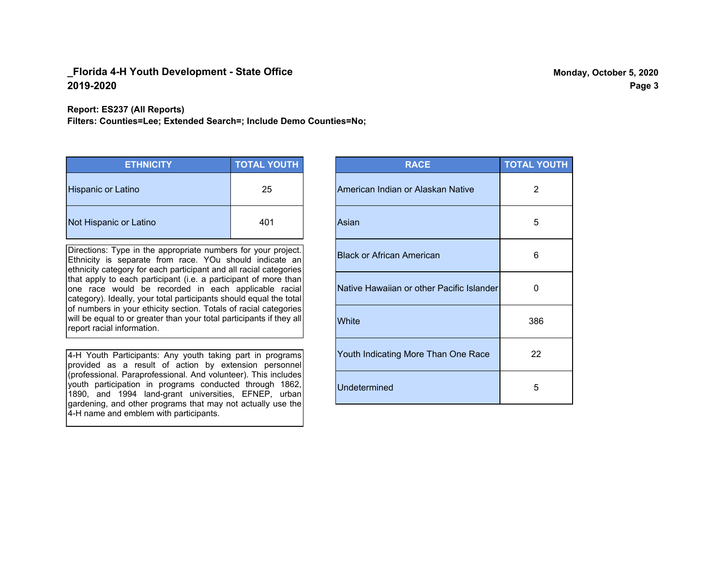**Report: ES237 (All Reports)**

**Filters: Counties=Lee; Extended Search=; Include Demo Counties=No;**

| <b>ETHNICITY</b>       | <b>TOTAL YOUTH</b> |
|------------------------|--------------------|
| Hispanic or Latino     | 25                 |
| Not Hispanic or Latino | 401                |

Directions: Type in the appropriate numbers for your project. Ethnicity is separate from race. YOu should indicate an ethnicity category for each participant and all racial categories that apply to each participant (i.e. a participant of more than one race would be recorded in each applicable racial category). Ideally, your total participants should equal the total of numbers in your ethicity section. Totals of racial categories will be equal to or greater than your total participants if they all report racial information.

4-H Youth Participants: Any youth taking part in programs provided as a result of action by extension personnel (professional. Paraprofessional. And volunteer). This includes youth participation in programs conducted through 1862, 1890, and 1994 land-grant universities, EFNEP, urban gardening, and other programs that may not actually use the 4-H name and emblem with participants.

| <b>RACE</b>                               | <b>TOTAL YOUTH</b> |
|-------------------------------------------|--------------------|
| American Indian or Alaskan Native         | 2                  |
| Asian                                     | 5                  |
| <b>Black or African American</b>          | 6                  |
| Native Hawaiian or other Pacific Islander | 0                  |
| White                                     | 386                |
| Youth Indicating More Than One Race       | 22                 |
| <b>Undetermined</b>                       | 5                  |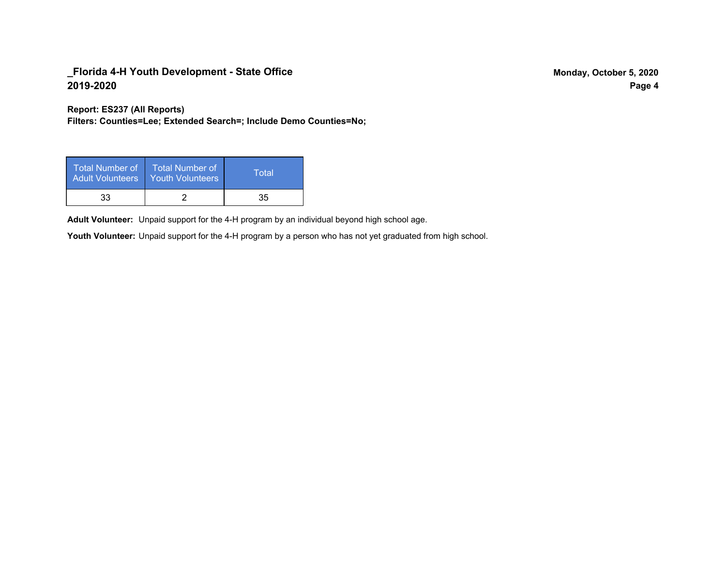**Report: ES237 (All Reports)**

**Filters: Counties=Lee; Extended Search=; Include Demo Counties=No;**

| <b>Total Number of</b><br><b>Adult Volunteers</b> | <b>Total Number of</b><br><b>Youth Volunteers</b> | Total |
|---------------------------------------------------|---------------------------------------------------|-------|
| 33                                                |                                                   | 35    |

Adult Volunteer: Unpaid support for the 4-H program by an individual beyond high school age.

Youth Volunteer: Unpaid support for the 4-H program by a person who has not yet graduated from high school.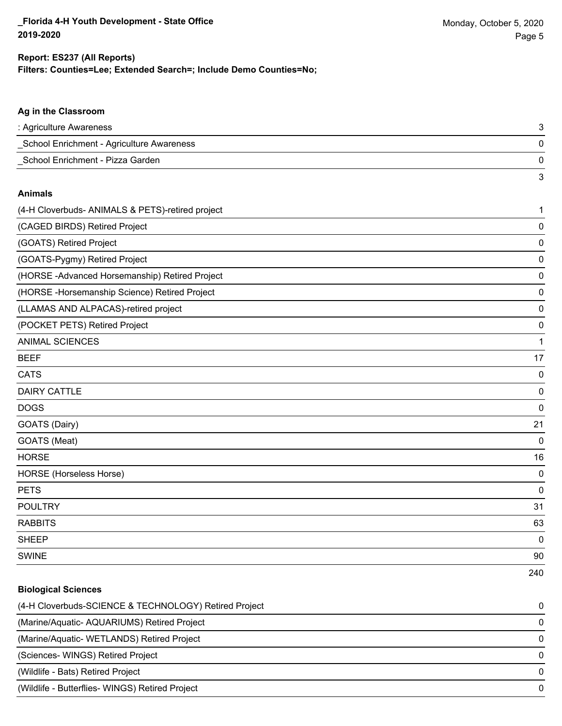3

### **Ag in the Classroom**

| : Agriculture Awareness                   |  |
|-------------------------------------------|--|
| School Enrichment - Agriculture Awareness |  |
| School Enrichment - Pizza Garden          |  |

#### **Animals**

| (4-H Cloverbuds- ANIMALS & PETS)-retired project | 1           |
|--------------------------------------------------|-------------|
| (CAGED BIRDS) Retired Project                    | 0           |
| (GOATS) Retired Project                          | 0           |
| (GOATS-Pygmy) Retired Project                    | 0           |
| (HORSE - Advanced Horsemanship) Retired Project  | 0           |
| (HORSE - Horsemanship Science) Retired Project   | 0           |
| (LLAMAS AND ALPACAS)-retired project             | 0           |
| (POCKET PETS) Retired Project                    | 0           |
| <b>ANIMAL SCIENCES</b>                           | 1           |
| <b>BEEF</b>                                      | 17          |
| <b>CATS</b>                                      | 0           |
| <b>DAIRY CATTLE</b>                              | 0           |
| <b>DOGS</b>                                      | 0           |
| GOATS (Dairy)                                    | 21          |
| GOATS (Meat)                                     | $\mathbf 0$ |
| <b>HORSE</b>                                     | 16          |
| HORSE (Horseless Horse)                          | 0           |
| <b>PETS</b>                                      | $\mathbf 0$ |
| <b>POULTRY</b>                                   | 31          |
| <b>RABBITS</b>                                   | 63          |
| <b>SHEEP</b>                                     | 0           |
| <b>SWINE</b>                                     | 90          |
|                                                  | 240         |

# **Biological Sciences**

| (4-H Cloverbuds-SCIENCE & TECHNOLOGY) Retired Project | 0            |
|-------------------------------------------------------|--------------|
| (Marine/Aquatic-AQUARIUMS) Retired Project            | 0            |
| (Marine/Aquatic-WETLANDS) Retired Project             | $\Omega$     |
| (Sciences- WINGS) Retired Project                     | $\Omega$     |
| (Wildlife - Bats) Retired Project                     | <sup>0</sup> |
| (Wildlife - Butterflies- WINGS) Retired Project       | $\Omega$     |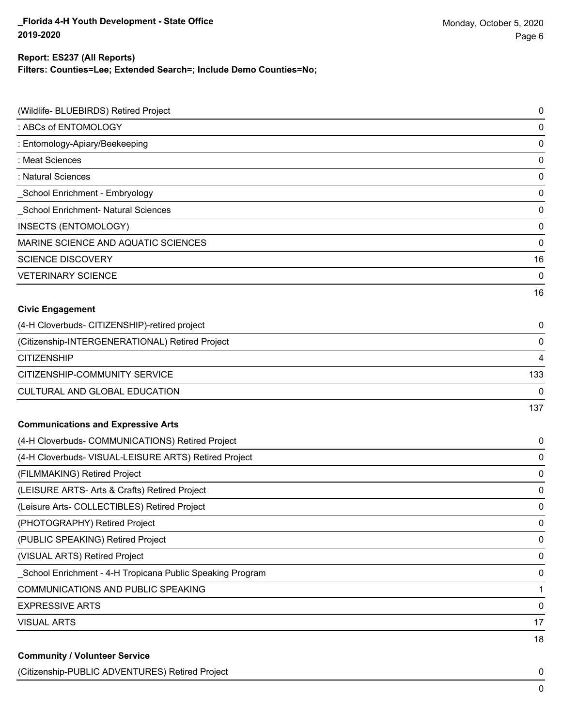## **Filters: Counties=Lee; Extended Search=; Include Demo Counties=No; Report: ES237 (All Reports)**

| (Wildlife- BLUEBIRDS) Retired Project                     | 0   |
|-----------------------------------------------------------|-----|
| : ABCs of ENTOMOLOGY                                      | 0   |
| : Entomology-Apiary/Beekeeping                            | 0   |
| : Meat Sciences                                           | 0   |
| : Natural Sciences                                        | 0   |
| School Enrichment - Embryology                            | 0   |
| <b>School Enrichment- Natural Sciences</b>                | 0   |
| INSECTS (ENTOMOLOGY)                                      | 0   |
| MARINE SCIENCE AND AQUATIC SCIENCES                       | 0   |
| <b>SCIENCE DISCOVERY</b>                                  | 16  |
| <b>VETERINARY SCIENCE</b>                                 | 0   |
|                                                           | 16  |
| <b>Civic Engagement</b>                                   |     |
| (4-H Cloverbuds- CITIZENSHIP)-retired project             | 0   |
| (Citizenship-INTERGENERATIONAL) Retired Project           | 0   |
| <b>CITIZENSHIP</b>                                        | 4   |
| CITIZENSHIP-COMMUNITY SERVICE                             | 133 |
| CULTURAL AND GLOBAL EDUCATION                             | 0   |
|                                                           | 137 |
| <b>Communications and Expressive Arts</b>                 |     |
| (4-H Cloverbuds- COMMUNICATIONS) Retired Project          | 0   |
| (4-H Cloverbuds- VISUAL-LEISURE ARTS) Retired Project     | 0   |
| (FILMMAKING) Retired Project                              | 0   |
| (LEISURE ARTS- Arts & Crafts) Retired Project             | 0   |
| (Leisure Arts- COLLECTIBLES) Retired Project              | 0   |
| (PHOTOGRAPHY) Retired Project                             | 0   |
| (PUBLIC SPEAKING) Retired Project                         | 0   |
| (VISUAL ARTS) Retired Project                             | 0   |
| School Enrichment - 4-H Tropicana Public Speaking Program | 0   |
| COMMUNICATIONS AND PUBLIC SPEAKING                        | 1   |
| <b>EXPRESSIVE ARTS</b>                                    | 0   |
| <b>VISUAL ARTS</b>                                        | 17  |
|                                                           | 18  |
| <b>Community / Volunteer Service</b>                      |     |

(Citizenship-PUBLIC ADVENTURES) Retired Project 0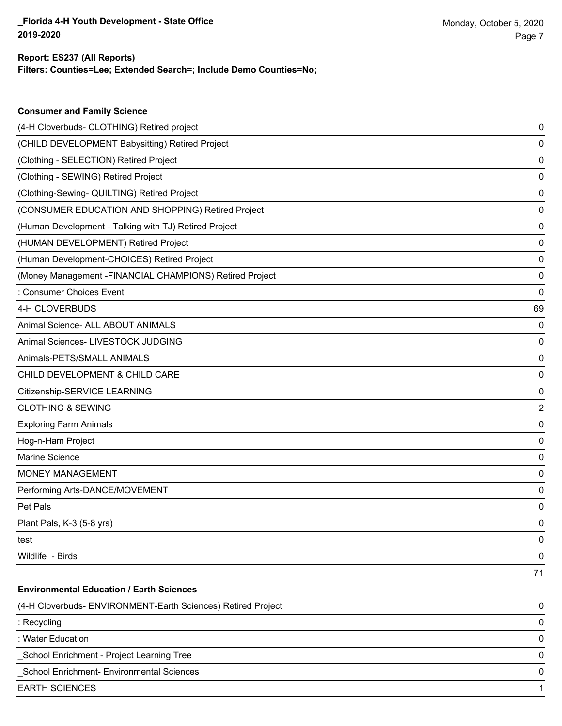**Consumer and Family Science**

### **Filters: Counties=Lee; Extended Search=; Include Demo Counties=No; Report: ES237 (All Reports)**

| (4-H Cloverbuds- CLOTHING) Retired project                   | 0  |
|--------------------------------------------------------------|----|
| (CHILD DEVELOPMENT Babysitting) Retired Project              | 0  |
| (Clothing - SELECTION) Retired Project                       | 0  |
| (Clothing - SEWING) Retired Project                          | 0  |
| (Clothing-Sewing- QUILTING) Retired Project                  | 0  |
| (CONSUMER EDUCATION AND SHOPPING) Retired Project            | 0  |
| (Human Development - Talking with TJ) Retired Project        | 0  |
| (HUMAN DEVELOPMENT) Retired Project                          | 0  |
| (Human Development-CHOICES) Retired Project                  | 0  |
| (Money Management - FINANCIAL CHAMPIONS) Retired Project     | 0  |
| : Consumer Choices Event                                     | 0  |
| 4-H CLOVERBUDS                                               | 69 |
| Animal Science- ALL ABOUT ANIMALS                            | 0  |
| Animal Sciences- LIVESTOCK JUDGING                           | 0  |
| Animals-PETS/SMALL ANIMALS                                   | 0  |
| CHILD DEVELOPMENT & CHILD CARE                               | 0  |
| Citizenship-SERVICE LEARNING                                 | 0  |
| <b>CLOTHING &amp; SEWING</b>                                 | 2  |
| <b>Exploring Farm Animals</b>                                | 0  |
| Hog-n-Ham Project                                            | 0  |
| Marine Science                                               | 0  |
| <b>MONEY MANAGEMENT</b>                                      | 0  |
| Performing Arts-DANCE/MOVEMENT                               | 0  |
| Pet Pals                                                     | 0  |
| Plant Pals, K-3 (5-8 yrs)                                    | 0  |
| test                                                         | 0  |
| Wildlife - Birds                                             | 0  |
|                                                              | 71 |
| <b>Environmental Education / Earth Sciences</b>              |    |
| (4-H Cloverbuds- ENVIRONMENT-Earth Sciences) Retired Project | 0  |
| : Recycling                                                  | 0  |
| : Water Education                                            | 0  |
| School Enrichment - Project Learning Tree                    | 0  |
| School Enrichment- Environmental Sciences                    | 0  |
| <b>EARTH SCIENCES</b>                                        | 1  |
|                                                              |    |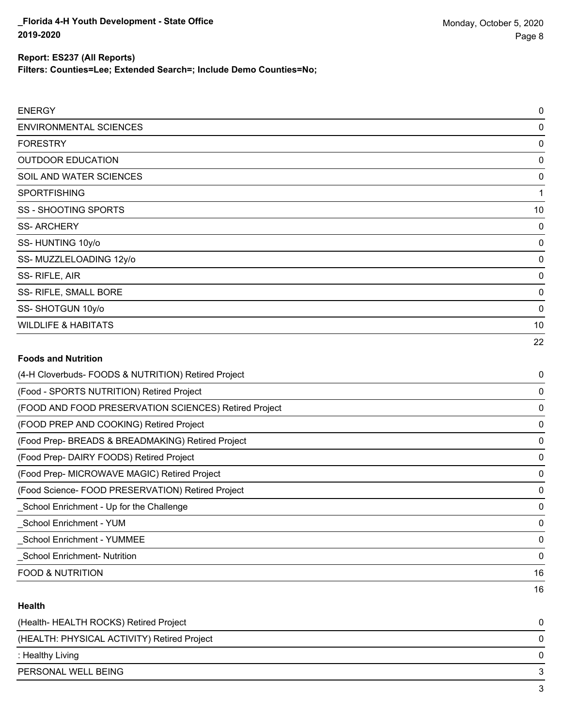**Filters: Counties=Lee; Extended Search=; Include Demo Counties=No;**

| <b>ENERGY</b>                                         | $\pmb{0}$   |
|-------------------------------------------------------|-------------|
| <b>ENVIRONMENTAL SCIENCES</b>                         | $\mathbf 0$ |
| <b>FORESTRY</b>                                       | $\mathbf 0$ |
| <b>OUTDOOR EDUCATION</b>                              | $\mathbf 0$ |
| SOIL AND WATER SCIENCES                               | $\mathbf 0$ |
| SPORTFISHING                                          | 1           |
| <b>SS - SHOOTING SPORTS</b>                           | 10          |
| <b>SS-ARCHERY</b>                                     | 0           |
| SS-HUNTING 10y/o                                      | $\mathbf 0$ |
| SS-MUZZLELOADING 12y/o                                | $\mathbf 0$ |
| SS-RIFLE, AIR                                         | 0           |
| SS- RIFLE, SMALL BORE                                 | $\mathbf 0$ |
| SS-SHOTGUN 10y/o                                      | $\mathbf 0$ |
| <b>WILDLIFE &amp; HABITATS</b>                        | 10          |
|                                                       | 22          |
| <b>Foods and Nutrition</b>                            |             |
| (4-H Cloverbuds- FOODS & NUTRITION) Retired Project   | 0           |
| (Food - SPORTS NUTRITION) Retired Project             | 0           |
| (FOOD AND FOOD PRESERVATION SCIENCES) Retired Project | $\mathbf 0$ |
| (FOOD PREP AND COOKING) Retired Project               | $\mathbf 0$ |
| (Food Prep- BREADS & BREADMAKING) Retired Project     | $\mathbf 0$ |
| (Food Prep- DAIRY FOODS) Retired Project              | $\mathbf 0$ |
| (Food Prep- MICROWAVE MAGIC) Retired Project          | 0           |
| (Food Science- FOOD PRESERVATION) Retired Project     | $\mathbf 0$ |
| School Enrichment - Up for the Challenge              | $\mathbf 0$ |
| School Enrichment - YUM                               | 0           |
| School Enrichment - YUMMEE                            | $\mathbf 0$ |
| <b>School Enrichment-Nutrition</b>                    | 0           |

#### **Health**

| (Health-HEALTH ROCKS) Retired Project       |   |
|---------------------------------------------|---|
| (HEALTH: PHYSICAL ACTIVITY) Retired Project | 0 |
| : Healthy Living                            | 0 |
| PERSONAL WELL BEING                         |   |
|                                             |   |

FOOD & NUTRITION 16

16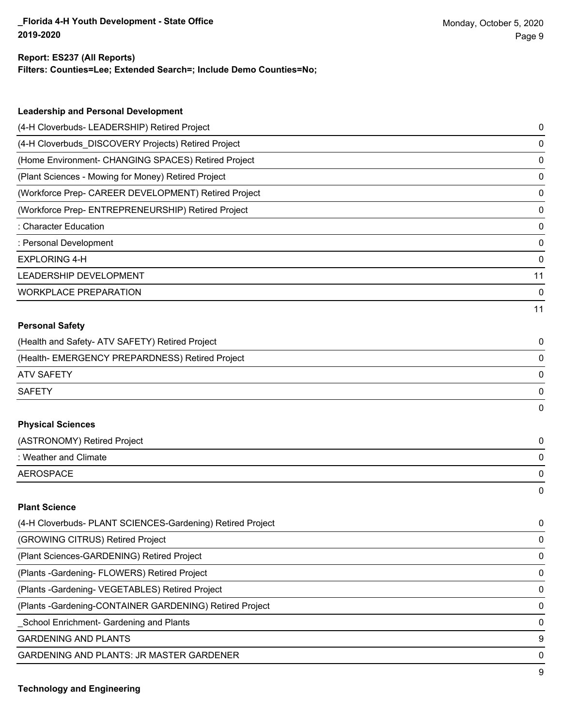$\overline{9}$ 

# **Report: ES237 (All Reports)**

**Filters: Counties=Lee; Extended Search=; Include Demo Counties=No;**

| <b>Leadership and Personal Development</b>                 |             |
|------------------------------------------------------------|-------------|
| (4-H Cloverbuds- LEADERSHIP) Retired Project               | 0           |
| (4-H Cloverbuds_DISCOVERY Projects) Retired Project        | 0           |
| (Home Environment- CHANGING SPACES) Retired Project        | 0           |
| (Plant Sciences - Mowing for Money) Retired Project        | 0           |
| (Workforce Prep- CAREER DEVELOPMENT) Retired Project       | 0           |
| (Workforce Prep- ENTREPRENEURSHIP) Retired Project         | 0           |
| <b>Character Education</b>                                 | 0           |
| : Personal Development                                     | 0           |
| <b>EXPLORING 4-H</b>                                       | 0           |
| LEADERSHIP DEVELOPMENT                                     | 11          |
| <b>WORKPLACE PREPARATION</b>                               | $\mathbf 0$ |
|                                                            | 11          |
| <b>Personal Safety</b>                                     |             |
| (Health and Safety- ATV SAFETY) Retired Project            | 0           |
| (Health- EMERGENCY PREPARDNESS) Retired Project            | 0           |
| <b>ATV SAFETY</b>                                          | 0           |
| <b>SAFETY</b>                                              | 0           |
|                                                            | 0           |
| <b>Physical Sciences</b>                                   |             |
| (ASTRONOMY) Retired Project                                | 0           |
| : Weather and Climate                                      | 0           |
| <b>AEROSPACE</b>                                           | 0           |
|                                                            | 0           |
| <b>Plant Science</b>                                       |             |
| (4-H Cloverbuds- PLANT SCIENCES-Gardening) Retired Project | 0           |
| (GROWING CITRUS) Retired Project                           | 0           |
| (Plant Sciences-GARDENING) Retired Project                 | 0           |
| (Plants - Gardening - FLOWERS) Retired Project             | 0           |
| (Plants - Gardening - VEGETABLES) Retired Project          | 0           |
| (Plants - Gardening-CONTAINER GARDENING) Retired Project   | 0           |
| School Enrichment- Gardening and Plants                    | 0           |
| <b>GARDENING AND PLANTS</b>                                | 9           |
| GARDENING AND PLANTS: JR MASTER GARDENER                   | 0           |